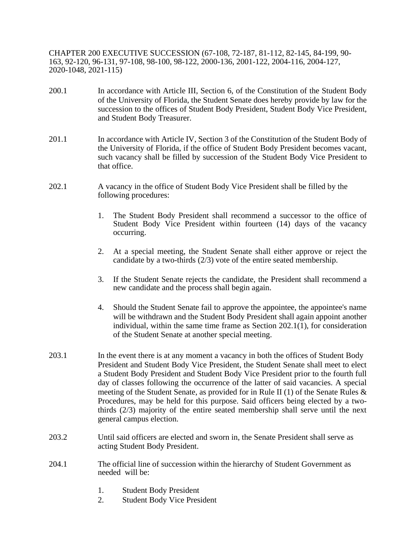CHAPTER 200 EXECUTIVE SUCCESSION (67-108, 72-187, 81-112, 82-145, 84-199, 90- 163, 92-120, 96-131, 97-108, 98-100, 98-122, 2000-136, 2001-122, 2004-116, 2004-127, 2020-1048, 2021-115)

- 200.1 In accordance with Article III, Section 6, of the Constitution of the Student Body of the University of Florida, the Student Senate does hereby provide by law for the succession to the offices of Student Body President, Student Body Vice President, and Student Body Treasurer.
- 201.1 In accordance with Article IV, Section 3 of the Constitution of the Student Body of the University of Florida, if the office of Student Body President becomes vacant, such vacancy shall be filled by succession of the Student Body Vice President to that office.
- 202.1 A vacancy in the office of Student Body Vice President shall be filled by the following procedures:
	- 1. The Student Body President shall recommend a successor to the office of Student Body Vice President within fourteen (14) days of the vacancy occurring.
	- 2. At a special meeting, the Student Senate shall either approve or reject the candidate by a two-thirds (2/3) vote of the entire seated membership.
	- 3. If the Student Senate rejects the candidate, the President shall recommend a new candidate and the process shall begin again.
	- 4. Should the Student Senate fail to approve the appointee, the appointee's name will be withdrawn and the Student Body President shall again appoint another individual, within the same time frame as Section  $202.1(1)$ , for consideration of the Student Senate at another special meeting.
- 203.1 In the event there is at any moment a vacancy in both the offices of Student Body President and Student Body Vice President, the Student Senate shall meet to elect a Student Body President and Student Body Vice President prior to the fourth full day of classes following the occurrence of the latter of said vacancies. A special meeting of the Student Senate, as provided for in Rule II (1) of the Senate Rules & Procedures, may be held for this purpose. Said officers being elected by a twothirds (2/3) majority of the entire seated membership shall serve until the next general campus election.
- 203.2 Until said officers are elected and sworn in, the Senate President shall serve as acting Student Body President.
- 204.1 The official line of succession within the hierarchy of Student Government as needed will be:
	- 1. Student Body President
	- 2. Student Body Vice President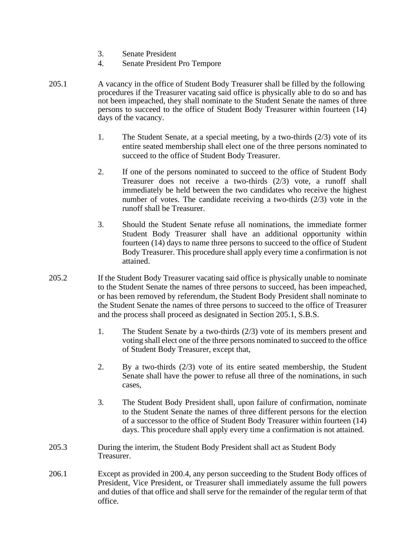- 3. Senate President
- 4. Senate President Pro Tempore
- 205.1 A vacancy in the office of Student Body Treasurer shall be filled by the following procedures if the Treasurer vacating said office is physically able to do so and has not been impeached, they shall nominate to the Student Senate the names of three persons to succeed to the office of Student Body Treasurer within fourteen (14) days of the vacancy.
	- 1. The Student Senate, at a special meeting, by a two-thirds (2/3) vote of its entire seated membership shall elect one of the three persons nominated to succeed to the office of Student Body Treasurer.
	- 2. If one of the persons nominated to succeed to the office of Student Body Treasurer does not receive a two-thirds (2/3) vote, a runoff shall immediately be held between the two candidates who receive the highest number of votes. The candidate receiving a two-thirds (2/3) vote in the runoff shall be Treasurer.
	- 3. Should the Student Senate refuse all nominations, the immediate former Student Body Treasurer shall have an additional opportunity within fourteen (14) days to name three persons to succeed to the office of Student Body Treasurer. This procedure shall apply every time a confirmation is not attained.
- 205.2 If the Student Body Treasurer vacating said office is physically unable to nominate to the Student Senate the names of three persons to succeed, has been impeached, or has been removed by referendum, the Student Body President shall nominate to the Student Senate the names of three persons to succeed to the office of Treasurer and the process shall proceed as designated in Section 205.1, S.B.S.
	- 1. The Student Senate by a two-thirds (2/3) vote of its members present and voting shall elect one of the three persons nominated to succeed to the office of Student Body Treasurer, except that,
	- 2. By a two-thirds (2/3) vote of its entire seated membership, the Student Senate shall have the power to refuse all three of the nominations, in such cases,
	- 3. The Student Body President shall, upon failure of confirmation, nominate to the Student Senate the names of three different persons for the election of a successor to the office of Student Body Treasurer within fourteen (14) days. This procedure shall apply every time a confirmation is not attained.
- 205.3 During the interim, the Student Body President shall act as Student Body Treasurer.
- 206.1 Except as provided in 200.4, any person succeeding to the Student Body offices of President, Vice President, or Treasurer shall immediately assume the full powers and duties of that office and shall serve for the remainder of the regular term of that office.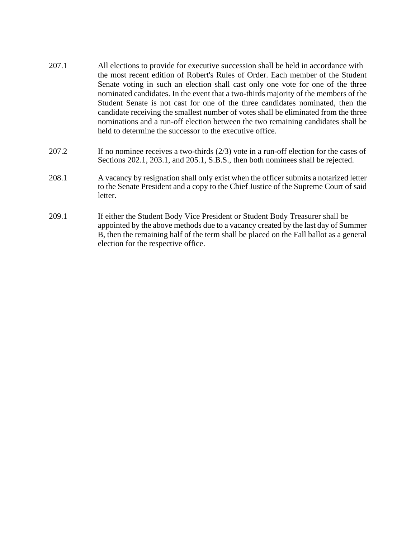- 207.1 All elections to provide for executive succession shall be held in accordance with the most recent edition of Robert's Rules of Order. Each member of the Student Senate voting in such an election shall cast only one vote for one of the three nominated candidates. In the event that a two-thirds majority of the members of the Student Senate is not cast for one of the three candidates nominated, then the candidate receiving the smallest number of votes shall be eliminated from the three nominations and a run-off election between the two remaining candidates shall be held to determine the successor to the executive office.
- 207.2 If no nominee receives a two-thirds (2/3) vote in a run-off election for the cases of Sections 202.1, 203.1, and 205.1, S.B.S., then both nominees shall be rejected.
- 208.1 A vacancy by resignation shall only exist when the officer submits a notarized letter to the Senate President and a copy to the Chief Justice of the Supreme Court of said letter.
- 209.1 If either the Student Body Vice President or Student Body Treasurer shall be appointed by the above methods due to a vacancy created by the last day of Summer B, then the remaining half of the term shall be placed on the Fall ballot as a general election for the respective office.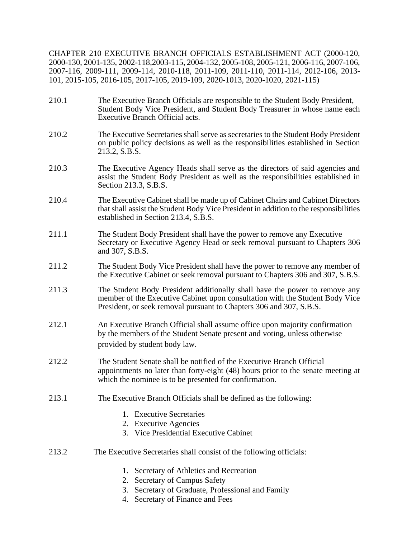CHAPTER 210 EXECUTIVE BRANCH OFFICIALS ESTABLISHMENT ACT (2000-120, 2000-130, 2001-135, 2002-118,2003-115, 2004-132, 2005-108, 2005-121, 2006-116, 2007-106, 2007-116, 2009-111, 2009-114, 2010-118, 2011-109, 2011-110, 2011-114, 2012-106, 2013- 101, 2015-105, 2016-105, 2017-105, 2019-109, 2020-1013, 2020-1020, 2021-115)

- 210.1 The Executive Branch Officials are responsible to the Student Body President, Student Body Vice President, and Student Body Treasurer in whose name each Executive Branch Official acts.
- 210.2 The Executive Secretaries shall serve as secretaries to the Student Body President on public policy decisions as well as the responsibilities established in Section 213.2, S.B.S.
- 210.3 The Executive Agency Heads shall serve as the directors of said agencies and assist the Student Body President as well as the responsibilities established in Section 213.3, S.B.S.
- 210.4 The Executive Cabinet shall be made up of Cabinet Chairs and Cabinet Directors that shall assist the Student Body Vice President in addition to the responsibilities established in Section 213.4, S.B.S.
- 211.1 The Student Body President shall have the power to remove any Executive Secretary or Executive Agency Head or seek removal pursuant to Chapters 306 and 307, S.B.S.
- 211.2 The Student Body Vice President shall have the power to remove any member of the Executive Cabinet or seek removal pursuant to Chapters 306 and 307, S.B.S.
- 211.3 The Student Body President additionally shall have the power to remove any member of the Executive Cabinet upon consultation with the Student Body Vice President, or seek removal pursuant to Chapters 306 and 307, S.B.S.
- 212.1 An Executive Branch Official shall assume office upon majority confirmation by the members of the Student Senate present and voting, unless otherwise provided by student body law.
- 212.2 The Student Senate shall be notified of the Executive Branch Official appointments no later than forty-eight (48) hours prior to the senate meeting at which the nominee is to be presented for confirmation.
- 213.1 The Executive Branch Officials shall be defined as the following:
	- 1. Executive Secretaries
	- 2. Executive Agencies
	- 3. Vice Presidential Executive Cabinet
- 213.2 The Executive Secretaries shall consist of the following officials:
	- 1. Secretary of Athletics and Recreation
	- 2. Secretary of Campus Safety
	- 3. Secretary of Graduate, Professional and Family
	- 4. Secretary of Finance and Fees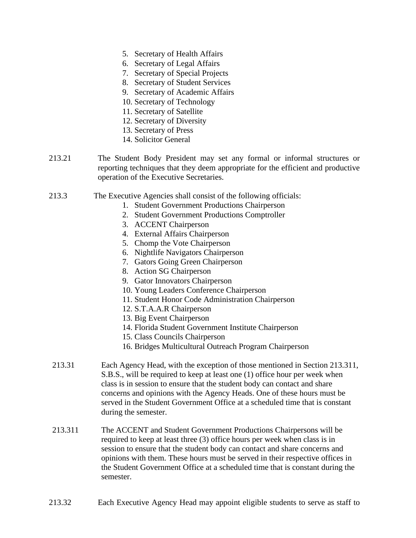- 5. Secretary of Health Affairs
- 6. Secretary of Legal Affairs
- 7. Secretary of Special Projects
- 8. Secretary of Student Services
- 9. Secretary of Academic Affairs
- 10. Secretary of Technology
- 11. Secretary of Satellite
- 12. Secretary of Diversity
- 13. Secretary of Press
- 14. Solicitor General
- 213.21 The Student Body President may set any formal or informal structures or reporting techniques that they deem appropriate for the efficient and productive operation of the Executive Secretaries.
- 213.3 The Executive Agencies shall consist of the following officials:
	- 1. Student Government Productions Chairperson
	- 2. Student Government Productions Comptroller
	- 3. ACCENT Chairperson
	- 4. External Affairs Chairperson
	- 5. Chomp the Vote Chairperson
	- 6. Nightlife Navigators Chairperson
	- 7. Gators Going Green Chairperson
	- 8. Action SG Chairperson
	- 9. Gator Innovators Chairperson
	- 10. Young Leaders Conference Chairperson
	- 11. Student Honor Code Administration Chairperson
	- 12. S.T.A.A.R Chairperson
	- 13. Big Event Chairperson
	- 14. Florida Student Government Institute Chairperson
	- 15. Class Councils Chairperson
	- 16. Bridges Multicultural Outreach Program Chairperson
- 213.31 Each Agency Head, with the exception of those mentioned in Section 213.311, S.B.S., will be required to keep at least one (1) office hour per week when class is in session to ensure that the student body can contact and share concerns and opinions with the Agency Heads. One of these hours must be served in the Student Government Office at a scheduled time that is constant during the semester.
- 213.311 The ACCENT and Student Government Productions Chairpersons will be required to keep at least three (3) office hours per week when class is in session to ensure that the student body can contact and share concerns and opinions with them. These hours must be served in their respective offices in the Student Government Office at a scheduled time that is constant during the semester.
- 213.32 Each Executive Agency Head may appoint eligible students to serve as staff to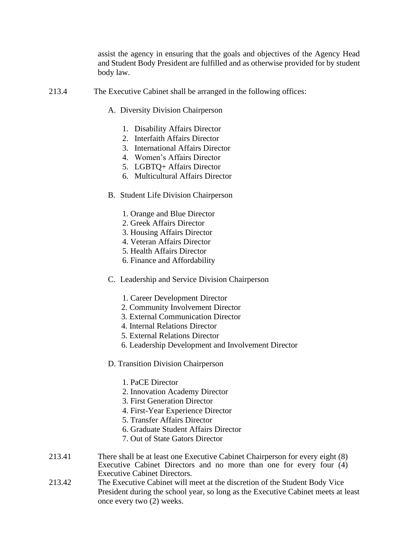assist the agency in ensuring that the goals and objectives of the Agency Head and Student Body President are fulfilled and as otherwise provided for by student body law.

- 213.4 The Executive Cabinet shall be arranged in the following offices:
	- A. Diversity Division Chairperson
		- 1. Disability Affairs Director
		- 2. Interfaith Affairs Director
		- 3. International Affairs Director
		- 4. Women's Affairs Director
		- 5. LGBTQ+ Affairs Director
		- 6. Multicultural Affairs Director
	- B. Student Life Division Chairperson
		- 1. Orange and Blue Director
		- 2. Greek Affairs Director
		- 3. Housing Affairs Director
		- 4. Veteran Affairs Director
		- 5. Health Affairs Director
		- 6. Finance and Affordability
	- C. Leadership and Service Division Chairperson
		- 1. Career Development Director
		- 2. Community Involvement Director
		- 3. External Communication Director
		- 4. Internal Relations Director
		- 5. External Relations Director
		- 6. Leadership Development and Involvement Director
	- D. Transition Division Chairperson
		- 1. PaCE Director
		- 2. Innovation Academy Director
		- 3. First Generation Director
		- 4. First-Year Experience Director
		- 5. Transfer Affairs Director
		- 6. Graduate Student Affairs Director
		- 7. Out of State Gators Director
- 213.41 There shall be at least one Executive Cabinet Chairperson for every eight (8) Executive Cabinet Directors and no more than one for every four (4) Executive Cabinet Directors.
- 213.42 The Executive Cabinet will meet at the discretion of the Student Body Vice President during the school year, so long as the Executive Cabinet meets at least once every two (2) weeks.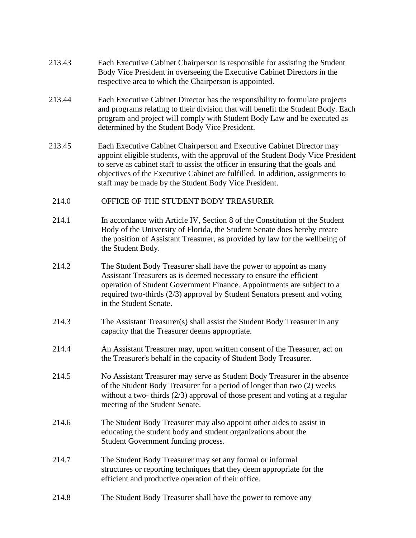- 213.43 Each Executive Cabinet Chairperson is responsible for assisting the Student Body Vice President in overseeing the Executive Cabinet Directors in the respective area to which the Chairperson is appointed.
- 213.44 Each Executive Cabinet Director has the responsibility to formulate projects and programs relating to their division that will benefit the Student Body. Each program and project will comply with Student Body Law and be executed as determined by the Student Body Vice President.
- 213.45 Each Executive Cabinet Chairperson and Executive Cabinet Director may appoint eligible students, with the approval of the Student Body Vice President to serve as cabinet staff to assist the officer in ensuring that the goals and objectives of the Executive Cabinet are fulfilled. In addition, assignments to staff may be made by the Student Body Vice President.
- 214.0 OFFICE OF THE STUDENT BODY TREASURER
- 214.1 In accordance with Article IV, Section 8 of the Constitution of the Student Body of the University of Florida, the Student Senate does hereby create the position of Assistant Treasurer, as provided by law for the wellbeing of the Student Body.
- 214.2 The Student Body Treasurer shall have the power to appoint as many Assistant Treasurers as is deemed necessary to ensure the efficient operation of Student Government Finance. Appointments are subject to a required two-thirds (2/3) approval by Student Senators present and voting in the Student Senate.
- 214.3 The Assistant Treasurer(s) shall assist the Student Body Treasurer in any capacity that the Treasurer deems appropriate.
- 214.4 An Assistant Treasurer may, upon written consent of the Treasurer, act on the Treasurer's behalf in the capacity of Student Body Treasurer.
- 214.5 No Assistant Treasurer may serve as Student Body Treasurer in the absence of the Student Body Treasurer for a period of longer than two (2) weeks without a two- thirds (2/3) approval of those present and voting at a regular meeting of the Student Senate.
- 214.6 The Student Body Treasurer may also appoint other aides to assist in educating the student body and student organizations about the Student Government funding process.
- 214.7 The Student Body Treasurer may set any formal or informal structures or reporting techniques that they deem appropriate for the efficient and productive operation of their office.
- 214.8 The Student Body Treasurer shall have the power to remove any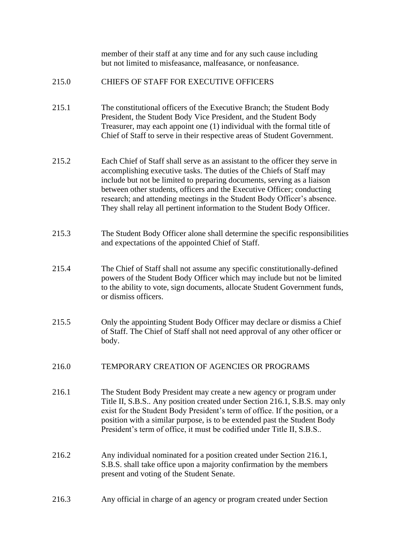|       | member of their staff at any time and for any such cause including<br>but not limited to misfeasance, malfeasance, or nonfeasance.                                                                                                                                                                                                                                                                                                                              |
|-------|-----------------------------------------------------------------------------------------------------------------------------------------------------------------------------------------------------------------------------------------------------------------------------------------------------------------------------------------------------------------------------------------------------------------------------------------------------------------|
| 215.0 | <b>CHIEFS OF STAFF FOR EXECUTIVE OFFICERS</b>                                                                                                                                                                                                                                                                                                                                                                                                                   |
| 215.1 | The constitutional officers of the Executive Branch; the Student Body<br>President, the Student Body Vice President, and the Student Body<br>Treasurer, may each appoint one (1) individual with the formal title of<br>Chief of Staff to serve in their respective areas of Student Government.                                                                                                                                                                |
| 215.2 | Each Chief of Staff shall serve as an assistant to the officer they serve in<br>accomplishing executive tasks. The duties of the Chiefs of Staff may<br>include but not be limited to preparing documents, serving as a liaison<br>between other students, officers and the Executive Officer; conducting<br>research; and attending meetings in the Student Body Officer's absence.<br>They shall relay all pertinent information to the Student Body Officer. |
| 215.3 | The Student Body Officer alone shall determine the specific responsibilities<br>and expectations of the appointed Chief of Staff.                                                                                                                                                                                                                                                                                                                               |
| 215.4 | The Chief of Staff shall not assume any specific constitutionally-defined<br>powers of the Student Body Officer which may include but not be limited<br>to the ability to vote, sign documents, allocate Student Government funds,<br>or dismiss officers.                                                                                                                                                                                                      |
| 215.5 | Only the appointing Student Body Officer may declare or dismiss a Chief<br>of Staff. The Chief of Staff shall not need approval of any other officer or<br>body.                                                                                                                                                                                                                                                                                                |
| 216.0 | TEMPORARY CREATION OF AGENCIES OR PROGRAMS                                                                                                                                                                                                                                                                                                                                                                                                                      |
| 216.1 | The Student Body President may create a new agency or program under<br>Title II, S.B.S Any position created under Section 216.1, S.B.S. may only<br>exist for the Student Body President's term of office. If the position, or a<br>position with a similar purpose, is to be extended past the Student Body<br>President's term of office, it must be codified under Title II, S.B.S                                                                           |
| 216.2 | Any individual nominated for a position created under Section 216.1,<br>S.B.S. shall take office upon a majority confirmation by the members<br>present and voting of the Student Senate.                                                                                                                                                                                                                                                                       |
| 216.3 | Any official in charge of an agency or program created under Section                                                                                                                                                                                                                                                                                                                                                                                            |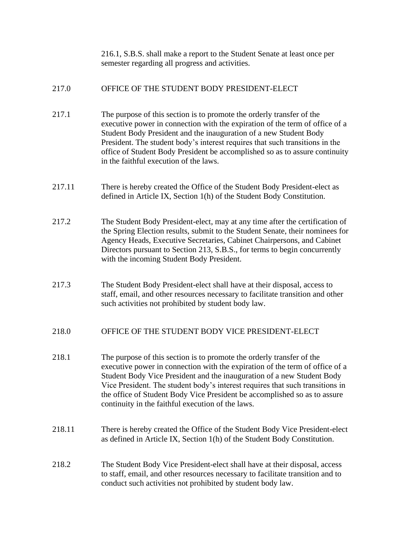216.1, S.B.S. shall make a report to the Student Senate at least once per semester regarding all progress and activities.

### 217.0 OFFICE OF THE STUDENT BODY PRESIDENT-ELECT

- 217.1 The purpose of this section is to promote the orderly transfer of the executive power in connection with the expiration of the term of office of a Student Body President and the inauguration of a new Student Body President. The student body's interest requires that such transitions in the office of Student Body President be accomplished so as to assure continuity in the faithful execution of the laws.
- 217.11 There is hereby created the Office of the Student Body President-elect as defined in Article IX, Section 1(h) of the Student Body Constitution.
- 217.2 The Student Body President-elect, may at any time after the certification of the Spring Election results, submit to the Student Senate, their nominees for Agency Heads, Executive Secretaries, Cabinet Chairpersons, and Cabinet Directors pursuant to Section 213, S.B.S., for terms to begin concurrently with the incoming Student Body President.
- 217.3 The Student Body President-elect shall have at their disposal, access to staff, email, and other resources necessary to facilitate transition and other such activities not prohibited by student body law.

### 218.0 OFFICE OF THE STUDENT BODY VICE PRESIDENT-ELECT

- 218.1 The purpose of this section is to promote the orderly transfer of the executive power in connection with the expiration of the term of office of a Student Body Vice President and the inauguration of a new Student Body Vice President. The student body's interest requires that such transitions in the office of Student Body Vice President be accomplished so as to assure continuity in the faithful execution of the laws.
- 218.11 There is hereby created the Office of the Student Body Vice President-elect as defined in Article IX, Section 1(h) of the Student Body Constitution.
- 218.2 The Student Body Vice President-elect shall have at their disposal, access to staff, email, and other resources necessary to facilitate transition and to conduct such activities not prohibited by student body law.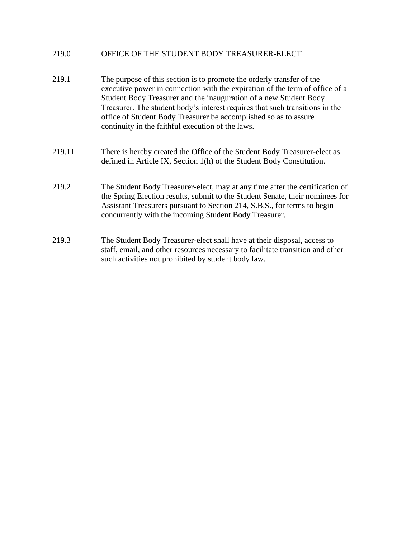### 219.0 OFFICE OF THE STUDENT BODY TREASURER-ELECT

- 219.1 The purpose of this section is to promote the orderly transfer of the executive power in connection with the expiration of the term of office of a Student Body Treasurer and the inauguration of a new Student Body Treasurer. The student body's interest requires that such transitions in the office of Student Body Treasurer be accomplished so as to assure continuity in the faithful execution of the laws.
- 219.11 There is hereby created the Office of the Student Body Treasurer-elect as defined in Article IX, Section 1(h) of the Student Body Constitution.
- 219.2 The Student Body Treasurer-elect, may at any time after the certification of the Spring Election results, submit to the Student Senate, their nominees for Assistant Treasurers pursuant to Section 214, S.B.S., for terms to begin concurrently with the incoming Student Body Treasurer.
- 219.3 The Student Body Treasurer-elect shall have at their disposal, access to staff, email, and other resources necessary to facilitate transition and other such activities not prohibited by student body law.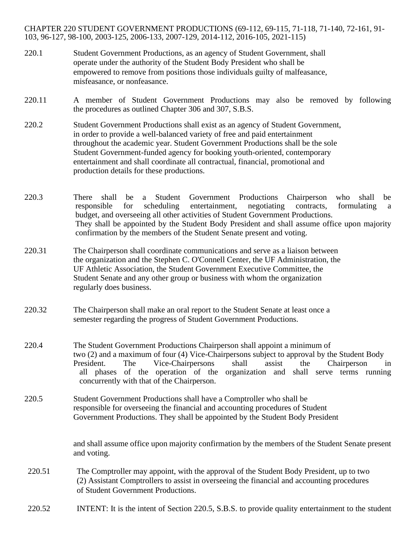CHAPTER 220 STUDENT GOVERNMENT PRODUCTIONS (69-112, 69-115, 71-118, 71-140, 72-161, 91- 103, 96-127, 98-100, 2003-125, 2006-133, 2007-129, 2014-112, 2016-105, 2021-115)

- 220.1 Student Government Productions, as an agency of Student Government, shall operate under the authority of the Student Body President who shall be empowered to remove from positions those individuals guilty of malfeasance, misfeasance, or nonfeasance.
- 220.11 A member of Student Government Productions may also be removed by following the procedures as outlined Chapter 306 and 307, S.B.S.
- 220.2 Student Government Productions shall exist as an agency of Student Government, in order to provide a well-balanced variety of free and paid entertainment throughout the academic year. Student Government Productions shall be the sole Student Government-funded agency for booking youth-oriented, contemporary entertainment and shall coordinate all contractual, financial, promotional and production details for these productions.
- 220.3 There shall be a Student Government Productions Chairperson who shall be responsible for scheduling entertainment, negotiating contracts, formulating a budget, and overseeing all other activities of Student Government Productions. They shall be appointed by the Student Body President and shall assume office upon majority confirmation by the members of the Student Senate present and voting.
- 220.31 The Chairperson shall coordinate communications and serve as a liaison between the organization and the Stephen C. O'Connell Center, the UF Administration, the UF Athletic Association, the Student Government Executive Committee, the Student Senate and any other group or business with whom the organization regularly does business.
- 220.32 The Chairperson shall make an oral report to the Student Senate at least once a semester regarding the progress of Student Government Productions.
- 220.4 The Student Government Productions Chairperson shall appoint a minimum of two (2) and a maximum of four (4) Vice-Chairpersons subject to approval by the Student Body President. The Vice-Chairpersons shall assist the Chairperson in all phases of the operation of the organization and shall serve terms running concurrently with that of the Chairperson.
- 220.5 Student Government Productions shall have a Comptroller who shall be responsible for overseeing the financial and accounting procedures of Student Government Productions. They shall be appointed by the Student Body President

and shall assume office upon majority confirmation by the members of the Student Senate present and voting.

220.51 The Comptroller may appoint, with the approval of the Student Body President, up to two (2) Assistant Comptrollers to assist in overseeing the financial and accounting procedures of Student Government Productions.

220.52 INTENT: It is the intent of Section 220.5, S.B.S. to provide quality entertainment to the student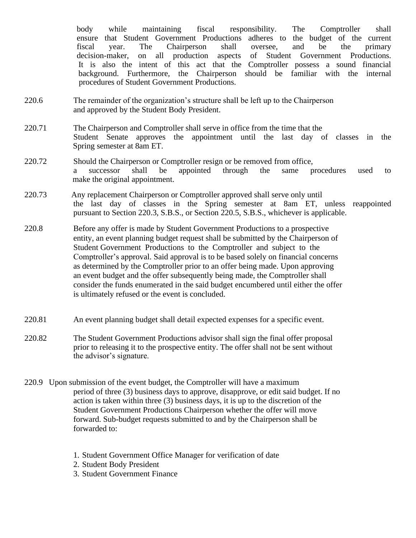body while maintaining fiscal responsibility. The Comptroller shall ensure that Student Government Productions adheres to the budget of the current fiscal year. The Chairperson shall oversee, and be the primary decision-maker, on all production aspects of Student Government Productions. It is also the intent of this act that the Comptroller possess a sound financial background. Furthermore, the Chairperson should be familiar with the internal procedures of Student Government Productions.

- 220.6 The remainder of the organization's structure shall be left up to the Chairperson and approved by the Student Body President.
- 220.71 The Chairperson and Comptroller shall serve in office from the time that the Student Senate approves the appointment until the last day of classes in the Spring semester at 8am ET.
- 220.72 Should the Chairperson or Comptroller resign or be removed from office, a successor shall be appointed through the same procedures used to make the original appointment.
- 220.73 Any replacement Chairperson or Comptroller approved shall serve only until the last day of classes in the Spring semester at 8am ET, unless reappointed pursuant to Section 220.3, S.B.S., or Section 220.5, S.B.S., whichever is applicable.
- 220.8 Before any offer is made by Student Government Productions to a prospective entity, an event planning budget request shall be submitted by the Chairperson of Student Government Productions to the Comptroller and subject to the Comptroller's approval. Said approval is to be based solely on financial concerns as determined by the Comptroller prior to an offer being made. Upon approving an event budget and the offer subsequently being made, the Comptroller shall consider the funds enumerated in the said budget encumbered until either the offer is ultimately refused or the event is concluded.
- 220.81 An event planning budget shall detail expected expenses for a specific event.
- 220.82 The Student Government Productions advisor shall sign the final offer proposal prior to releasing it to the prospective entity. The offer shall not be sent without the advisor's signature.
- 220.9 Upon submission of the event budget, the Comptroller will have a maximum period of three (3) business days to approve, disapprove, or edit said budget. If no action is taken within three (3) business days, it is up to the discretion of the Student Government Productions Chairperson whether the offer will move forward. Sub-budget requests submitted to and by the Chairperson shall be forwarded to:
	- 1. Student Government Office Manager for verification of date
	- 2. Student Body President
	- 3. Student Government Finance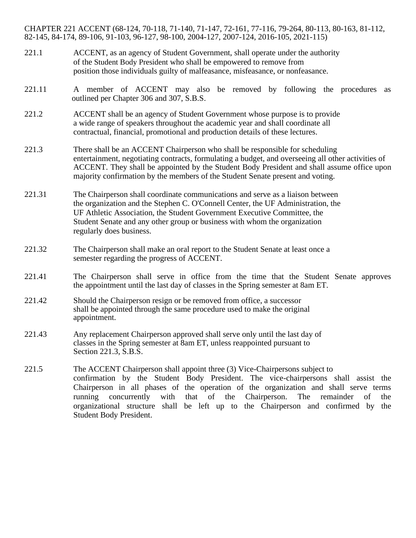CHAPTER 221 ACCENT (68-124, 70-118, 71-140, 71-147, 72-161, 77-116, 79-264, 80-113, 80-163, 81-112, 82-145, 84-174, 89-106, 91-103, 96-127, 98-100, 2004-127, 2007-124, 2016-105, 2021-115)

- 221.1 ACCENT, as an agency of Student Government, shall operate under the authority of the Student Body President who shall be empowered to remove from position those individuals guilty of malfeasance, misfeasance, or nonfeasance.
- 221.11 A member of ACCENT may also be removed by following the procedures as outlined per Chapter 306 and 307, S.B.S.
- 221.2 ACCENT shall be an agency of Student Government whose purpose is to provide a wide range of speakers throughout the academic year and shall coordinate all contractual, financial, promotional and production details of these lectures.
- 221.3 There shall be an ACCENT Chairperson who shall be responsible for scheduling entertainment, negotiating contracts, formulating a budget, and overseeing all other activities of ACCENT. They shall be appointed by the Student Body President and shall assume office upon majority confirmation by the members of the Student Senate present and voting.
- 221.31 The Chairperson shall coordinate communications and serve as a liaison between the organization and the Stephen C. O'Connell Center, the UF Administration, the UF Athletic Association, the Student Government Executive Committee, the Student Senate and any other group or business with whom the organization regularly does business.
- 221.32 The Chairperson shall make an oral report to the Student Senate at least once a semester regarding the progress of ACCENT.
- 221.41 The Chairperson shall serve in office from the time that the Student Senate approves the appointment until the last day of classes in the Spring semester at 8am ET.
- 221.42 Should the Chairperson resign or be removed from office, a successor shall be appointed through the same procedure used to make the original appointment.
- 221.43 Any replacement Chairperson approved shall serve only until the last day of classes in the Spring semester at 8am ET, unless reappointed pursuant to Section 221.3, S.B.S.
- 221.5 The ACCENT Chairperson shall appoint three (3) Vice-Chairpersons subject to confirmation by the Student Body President. The vice-chairpersons shall assist the Chairperson in all phases of the operation of the organization and shall serve terms running concurrently with that of the Chairperson. The remainder of the organizational structure shall be left up to the Chairperson and confirmed by the Student Body President.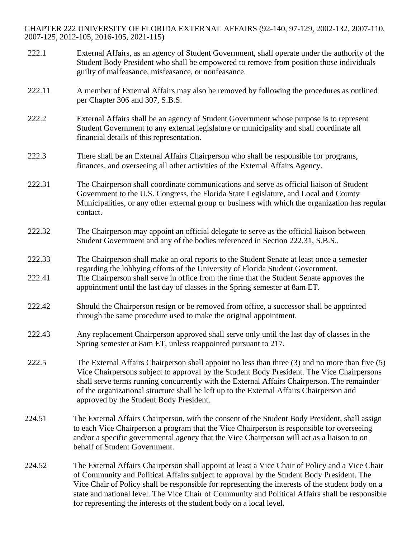CHAPTER 222 UNIVERSITY OF FLORIDA EXTERNAL AFFAIRS (92-140, 97-129, 2002-132, 2007-110, 2007-125, 2012-105, 2016-105, 2021-115)

222.1 External Affairs, as an agency of Student Government, shall operate under the authority of the Student Body President who shall be empowered to remove from position those individuals guilty of malfeasance, misfeasance, or nonfeasance. 222.11 A member of External Affairs may also be removed by following the procedures as outlined per Chapter 306 and 307, S.B.S. 222.2 External Affairs shall be an agency of Student Government whose purpose is to represent Student Government to any external legislature or municipality and shall coordinate all financial details of this representation. 222.3 There shall be an External Affairs Chairperson who shall be responsible for programs, finances, and overseeing all other activities of the External Affairs Agency. 222.31 The Chairperson shall coordinate communications and serve as official liaison of Student Government to the U.S. Congress, the Florida State Legislature, and Local and County Municipalities, or any other external group or business with which the organization has regular contact. 222.32 The Chairperson may appoint an official delegate to serve as the official liaison between Student Government and any of the bodies referenced in Section 222.31, S.B.S.. 222.33 The Chairperson shall make an oral reports to the Student Senate at least once a semester regarding the lobbying efforts of the University of Florida Student Government. 222.41 The Chairperson shall serve in office from the time that the Student Senate approves the appointment until the last day of classes in the Spring semester at 8am ET. 222.42 Should the Chairperson resign or be removed from office, a successor shall be appointed through the same procedure used to make the original appointment. 222.43 Any replacement Chairperson approved shall serve only until the last day of classes in the Spring semester at 8am ET, unless reappointed pursuant to 217. 222.5 The External Affairs Chairperson shall appoint no less than three (3) and no more than five (5) Vice Chairpersons subject to approval by the Student Body President. The Vice Chairpersons shall serve terms running concurrently with the External Affairs Chairperson. The remainder of the organizational structure shall be left up to the External Affairs Chairperson and approved by the Student Body President. 224.51 The External Affairs Chairperson, with the consent of the Student Body President, shall assign to each Vice Chairperson a program that the Vice Chairperson is responsible for overseeing and/or a specific governmental agency that the Vice Chairperson will act as a liaison to on behalf of Student Government. 224.52 The External Affairs Chairperson shall appoint at least a Vice Chair of Policy and a Vice Chair of Community and Political Affairs subject to approval by the Student Body President. The Vice Chair of Policy shall be responsible for representing the interests of the student body on a state and national level. The Vice Chair of Community and Political Affairs shall be responsible for representing the interests of the student body on a local level.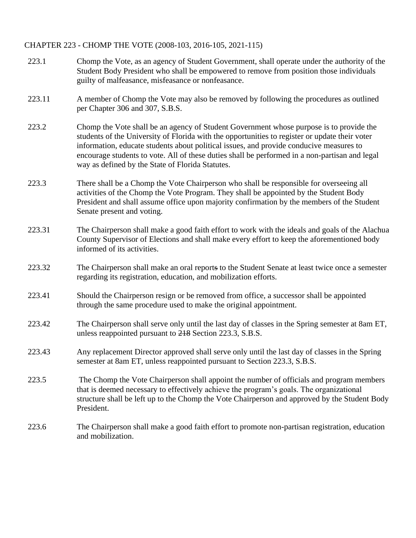### CHAPTER 223 - CHOMP THE VOTE (2008-103, 2016-105, 2021-115)

| 223.1  | Chomp the Vote, as an agency of Student Government, shall operate under the authority of the<br>Student Body President who shall be empowered to remove from position those individuals<br>guilty of malfeasance, misfeasance or nonfeasance.                                                                                                                                                                                              |
|--------|--------------------------------------------------------------------------------------------------------------------------------------------------------------------------------------------------------------------------------------------------------------------------------------------------------------------------------------------------------------------------------------------------------------------------------------------|
| 223.11 | A member of Chomp the Vote may also be removed by following the procedures as outlined<br>per Chapter 306 and 307, S.B.S.                                                                                                                                                                                                                                                                                                                  |
| 223.2  | Chomp the Vote shall be an agency of Student Government whose purpose is to provide the<br>students of the University of Florida with the opportunities to register or update their voter<br>information, educate students about political issues, and provide conducive measures to<br>encourage students to vote. All of these duties shall be performed in a non-partisan and legal<br>way as defined by the State of Florida Statutes. |
| 223.3  | There shall be a Chomp the Vote Chairperson who shall be responsible for overseeing all<br>activities of the Chomp the Vote Program. They shall be appointed by the Student Body<br>President and shall assume office upon majority confirmation by the members of the Student<br>Senate present and voting.                                                                                                                               |
| 223.31 | The Chairperson shall make a good faith effort to work with the ideals and goals of the Alachua<br>County Supervisor of Elections and shall make every effort to keep the aforementioned body<br>informed of its activities.                                                                                                                                                                                                               |
| 223.32 | The Chairperson shall make an oral reports to the Student Senate at least twice once a semester<br>regarding its registration, education, and mobilization efforts.                                                                                                                                                                                                                                                                        |
| 223.41 | Should the Chairperson resign or be removed from office, a successor shall be appointed<br>through the same procedure used to make the original appointment.                                                                                                                                                                                                                                                                               |
| 223.42 | The Chairperson shall serve only until the last day of classes in the Spring semester at 8am ET,<br>unless reappointed pursuant to 218 Section 223.3, S.B.S.                                                                                                                                                                                                                                                                               |
| 223.43 | Any replacement Director approved shall serve only until the last day of classes in the Spring<br>semester at 8am ET, unless reappointed pursuant to Section 223.3, S.B.S.                                                                                                                                                                                                                                                                 |
| 223.5  | The Chomp the Vote Chairperson shall appoint the number of officials and program members<br>that is deemed necessary to effectively achieve the program's goals. The organizational<br>structure shall be left up to the Chomp the Vote Chairperson and approved by the Student Body<br>President.                                                                                                                                         |
| 223.6  | The Chairperson shall make a good faith effort to promote non-partisan registration, education<br>and mobilization.                                                                                                                                                                                                                                                                                                                        |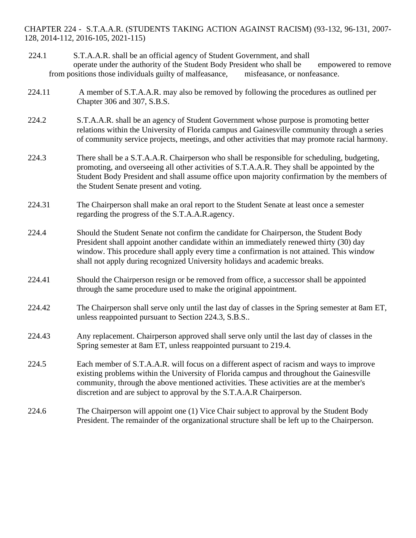CHAPTER 224 - S.T.A.A.R. (STUDENTS TAKING ACTION AGAINST RACISM) (93-132, 96-131, 2007- 128, 2014-112, 2016-105, 2021-115)

- 224.1 S.T.A.A.R. shall be an official agency of Student Government, and shall operate under the authority of the Student Body President who shall be empowered to remove from positions those individuals guilty of malfeasance, misfeasance, or nonfeasance.
- 224.11 A member of S.T.A.A.R. may also be removed by following the procedures as outlined per Chapter 306 and 307, S.B.S.
- 224.2 S.T.A.A.R. shall be an agency of Student Government whose purpose is promoting better relations within the University of Florida campus and Gainesville community through a series of community service projects, meetings, and other activities that may promote racial harmony.
- 224.3 There shall be a S.T.A.A.R. Chairperson who shall be responsible for scheduling, budgeting, promoting, and overseeing all other activities of S.T.A.A.R. They shall be appointed by the Student Body President and shall assume office upon majority confirmation by the members of the Student Senate present and voting.
- 224.31 The Chairperson shall make an oral report to the Student Senate at least once a semester regarding the progress of the S.T.A.A.R.agency.
- 224.4 Should the Student Senate not confirm the candidate for Chairperson, the Student Body President shall appoint another candidate within an immediately renewed thirty (30) day window. This procedure shall apply every time a confirmation is not attained. This window shall not apply during recognized University holidays and academic breaks.
- 224.41 Should the Chairperson resign or be removed from office, a successor shall be appointed through the same procedure used to make the original appointment.
- 224.42 The Chairperson shall serve only until the last day of classes in the Spring semester at 8am ET, unless reappointed pursuant to Section 224.3, S.B.S..
- 224.43 Any replacement. Chairperson approved shall serve only until the last day of classes in the Spring semester at 8am ET, unless reappointed pursuant to 219.4.
- 224.5 Each member of S.T.A.A.R. will focus on a different aspect of racism and ways to improve existing problems within the University of Florida campus and throughout the Gainesville community, through the above mentioned activities. These activities are at the member's discretion and are subject to approval by the S.T.A.A.R Chairperson.
- 224.6 The Chairperson will appoint one (1) Vice Chair subject to approval by the Student Body President. The remainder of the organizational structure shall be left up to the Chairperson.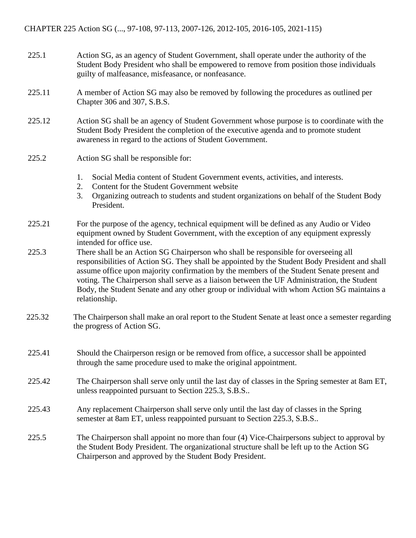- 225.1 Action SG, as an agency of Student Government, shall operate under the authority of the Student Body President who shall be empowered to remove from position those individuals guilty of malfeasance, misfeasance, or nonfeasance.
- 225.11 A member of Action SG may also be removed by following the procedures as outlined per Chapter 306 and 307, S.B.S.
- 225.12 Action SG shall be an agency of Student Government whose purpose is to coordinate with the Student Body President the completion of the executive agenda and to promote student awareness in regard to the actions of Student Government.
- 225.2 Action SG shall be responsible for:
	- 1. Social Media content of Student Government events, activities, and interests.
	- 2. Content for the Student Government website
	- 3. Organizing outreach to students and student organizations on behalf of the Student Body President.
- 225.21 For the purpose of the agency, technical equipment will be defined as any Audio or Video equipment owned by Student Government, with the exception of any equipment expressly intended for office use.
- 225.3 There shall be an Action SG Chairperson who shall be responsible for overseeing all responsibilities of Action SG. They shall be appointed by the Student Body President and shall assume office upon majority confirmation by the members of the Student Senate present and voting. The Chairperson shall serve as a liaison between the UF Administration, the Student Body, the Student Senate and any other group or individual with whom Action SG maintains a relationship.
- 225.32 The Chairperson shall make an oral report to the Student Senate at least once a semester regarding the progress of Action SG.
- 225.41 Should the Chairperson resign or be removed from office, a successor shall be appointed through the same procedure used to make the original appointment.
- 225.42 The Chairperson shall serve only until the last day of classes in the Spring semester at 8am ET, unless reappointed pursuant to Section 225.3, S.B.S..
- 225.43 Any replacement Chairperson shall serve only until the last day of classes in the Spring semester at 8am ET, unless reappointed pursuant to Section 225.3, S.B.S..
- 225.5 The Chairperson shall appoint no more than four (4) Vice-Chairpersons subject to approval by the Student Body President. The organizational structure shall be left up to the Action SG Chairperson and approved by the Student Body President.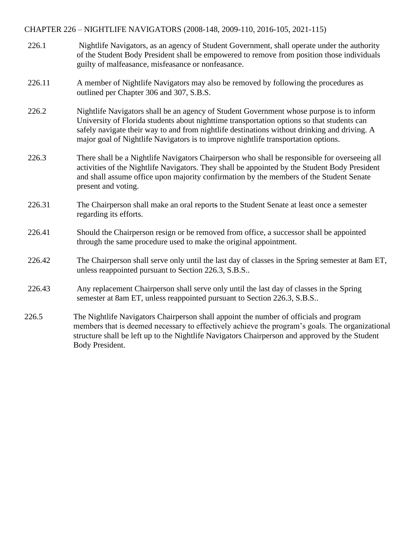### CHAPTER 226 – NIGHTLIFE NAVIGATORS (2008-148, 2009-110, 2016-105, 2021-115)

- 226.1 Nightlife Navigators, as an agency of Student Government, shall operate under the authority of the Student Body President shall be empowered to remove from position those individuals guilty of malfeasance, misfeasance or nonfeasance.
- 226.11 A member of Nightlife Navigators may also be removed by following the procedures as outlined per Chapter 306 and 307, S.B.S.
- 226.2 Nightlife Navigators shall be an agency of Student Government whose purpose is to inform University of Florida students about nighttime transportation options so that students can safely navigate their way to and from nightlife destinations without drinking and driving. A major goal of Nightlife Navigators is to improve nightlife transportation options.
- 226.3 There shall be a Nightlife Navigators Chairperson who shall be responsible for overseeing all activities of the Nightlife Navigators. They shall be appointed by the Student Body President and shall assume office upon majority confirmation by the members of the Student Senate present and voting.
- 226.31 The Chairperson shall make an oral reports to the Student Senate at least once a semester regarding its efforts.
- 226.41 Should the Chairperson resign or be removed from office, a successor shall be appointed through the same procedure used to make the original appointment.
- 226.42 The Chairperson shall serve only until the last day of classes in the Spring semester at 8am ET, unless reappointed pursuant to Section 226.3, S.B.S..
- 226.43 Any replacement Chairperson shall serve only until the last day of classes in the Spring semester at 8am ET, unless reappointed pursuant to Section 226.3, S.B.S..
- 226.5 The Nightlife Navigators Chairperson shall appoint the number of officials and program members that is deemed necessary to effectively achieve the program's goals. The organizational structure shall be left up to the Nightlife Navigators Chairperson and approved by the Student Body President.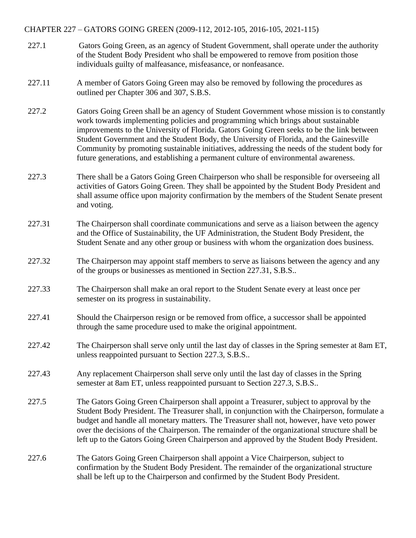### CHAPTER 227 – GATORS GOING GREEN (2009-112, 2012-105, 2016-105, 2021-115)

- 227.1 Gators Going Green, as an agency of Student Government, shall operate under the authority of the Student Body President who shall be empowered to remove from position those individuals guilty of malfeasance, misfeasance, or nonfeasance.
- 227.11 A member of Gators Going Green may also be removed by following the procedures as outlined per Chapter 306 and 307, S.B.S.
- 227.2 Gators Going Green shall be an agency of Student Government whose mission is to constantly work towards implementing policies and programming which brings about sustainable improvements to the University of Florida. Gators Going Green seeks to be the link between Student Government and the Student Body, the University of Florida, and the Gainesville Community by promoting sustainable initiatives, addressing the needs of the student body for future generations, and establishing a permanent culture of environmental awareness.
- 227.3 There shall be a Gators Going Green Chairperson who shall be responsible for overseeing all activities of Gators Going Green. They shall be appointed by the Student Body President and shall assume office upon majority confirmation by the members of the Student Senate present and voting.
- 227.31 The Chairperson shall coordinate communications and serve as a liaison between the agency and the Office of Sustainability, the UF Administration, the Student Body President, the Student Senate and any other group or business with whom the organization does business.
- 227.32 The Chairperson may appoint staff members to serve as liaisons between the agency and any of the groups or businesses as mentioned in Section 227.31, S.B.S..
- 227.33 The Chairperson shall make an oral report to the Student Senate every at least once per semester on its progress in sustainability.
- 227.41 Should the Chairperson resign or be removed from office, a successor shall be appointed through the same procedure used to make the original appointment.
- 227.42 The Chairperson shall serve only until the last day of classes in the Spring semester at 8am ET, unless reappointed pursuant to Section 227.3, S.B.S..
- 227.43 Any replacement Chairperson shall serve only until the last day of classes in the Spring semester at 8am ET, unless reappointed pursuant to Section 227.3, S.B.S..
- 227.5 The Gators Going Green Chairperson shall appoint a Treasurer, subject to approval by the Student Body President. The Treasurer shall, in conjunction with the Chairperson, formulate a budget and handle all monetary matters. The Treasurer shall not, however, have veto power over the decisions of the Chairperson. The remainder of the organizational structure shall be left up to the Gators Going Green Chairperson and approved by the Student Body President.
- 227.6 The Gators Going Green Chairperson shall appoint a Vice Chairperson, subject to confirmation by the Student Body President. The remainder of the organizational structure shall be left up to the Chairperson and confirmed by the Student Body President.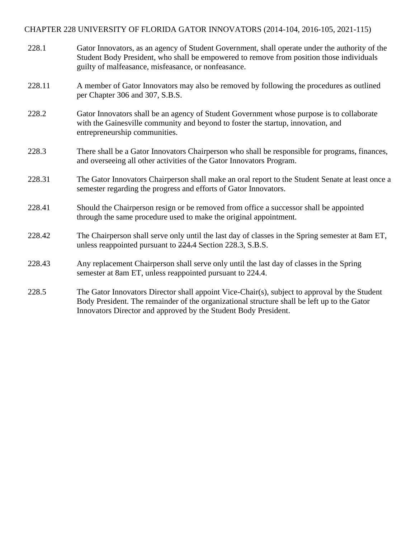# CHAPTER 228 UNIVERSITY OF FLORIDA GATOR INNOVATORS (2014-104, 2016-105, 2021-115)

| 228.1  | Gator Innovators, as an agency of Student Government, shall operate under the authority of the<br>Student Body President, who shall be empowered to remove from position those individuals<br>guilty of malfeasance, misfeasance, or nonfeasance.               |
|--------|-----------------------------------------------------------------------------------------------------------------------------------------------------------------------------------------------------------------------------------------------------------------|
| 228.11 | A member of Gator Innovators may also be removed by following the procedures as outlined<br>per Chapter 306 and 307, S.B.S.                                                                                                                                     |
| 228.2  | Gator Innovators shall be an agency of Student Government whose purpose is to collaborate<br>with the Gainesville community and beyond to foster the startup, innovation, and<br>entrepreneurship communities.                                                  |
| 228.3  | There shall be a Gator Innovators Chairperson who shall be responsible for programs, finances,<br>and overseeing all other activities of the Gator Innovators Program.                                                                                          |
| 228.31 | The Gator Innovators Chairperson shall make an oral report to the Student Senate at least once a<br>semester regarding the progress and efforts of Gator Innovators.                                                                                            |
| 228.41 | Should the Chairperson resign or be removed from office a successor shall be appointed<br>through the same procedure used to make the original appointment.                                                                                                     |
| 228.42 | The Chairperson shall serve only until the last day of classes in the Spring semester at 8am ET,<br>unless reappointed pursuant to 224.4 Section 228.3, S.B.S.                                                                                                  |
| 228.43 | Any replacement Chairperson shall serve only until the last day of classes in the Spring<br>semester at 8am ET, unless reappointed pursuant to 224.4.                                                                                                           |
| 228.5  | The Gator Innovators Director shall appoint Vice-Chair(s), subject to approval by the Student<br>Body President. The remainder of the organizational structure shall be left up to the Gator<br>Innovators Director and approved by the Student Body President. |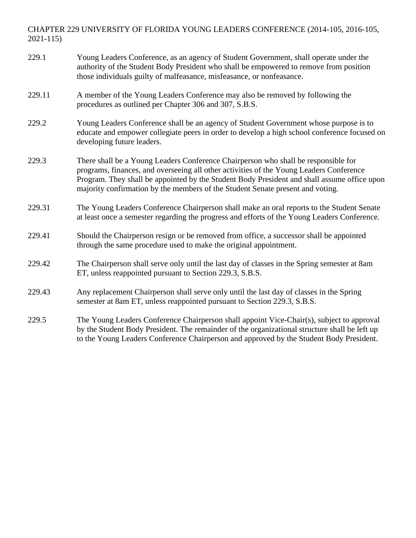# CHAPTER 229 UNIVERSITY OF FLORIDA YOUNG LEADERS CONFERENCE (2014-105, 2016-105, 2021-115)

| 229.1  | Young Leaders Conference, as an agency of Student Government, shall operate under the<br>authority of the Student Body President who shall be empowered to remove from position<br>those individuals guilty of malfeasance, misfeasance, or nonfeasance.                                                                                                       |
|--------|----------------------------------------------------------------------------------------------------------------------------------------------------------------------------------------------------------------------------------------------------------------------------------------------------------------------------------------------------------------|
| 229.11 | A member of the Young Leaders Conference may also be removed by following the<br>procedures as outlined per Chapter 306 and 307, S.B.S.                                                                                                                                                                                                                        |
| 229.2  | Young Leaders Conference shall be an agency of Student Government whose purpose is to<br>educate and empower collegiate peers in order to develop a high school conference focused on<br>developing future leaders.                                                                                                                                            |
| 229.3  | There shall be a Young Leaders Conference Chairperson who shall be responsible for<br>programs, finances, and overseeing all other activities of the Young Leaders Conference<br>Program. They shall be appointed by the Student Body President and shall assume office upon<br>majority confirmation by the members of the Student Senate present and voting. |
| 229.31 | The Young Leaders Conference Chairperson shall make an oral reports to the Student Senate<br>at least once a semester regarding the progress and efforts of the Young Leaders Conference.                                                                                                                                                                      |
| 229.41 | Should the Chairperson resign or be removed from office, a successor shall be appointed<br>through the same procedure used to make the original appointment.                                                                                                                                                                                                   |
| 229.42 | The Chairperson shall serve only until the last day of classes in the Spring semester at 8am<br>ET, unless reappointed pursuant to Section 229.3, S.B.S.                                                                                                                                                                                                       |
| 229.43 | Any replacement Chairperson shall serve only until the last day of classes in the Spring<br>semester at 8am ET, unless reappointed pursuant to Section 229.3, S.B.S.                                                                                                                                                                                           |
| 229.5  | The Young Leaders Conference Chairperson shall appoint Vice-Chair(s), subject to approval<br>by the Student Body President. The remainder of the organizational structure shall be left up<br>to the Young Leaders Conference Chairperson and approved by the Student Body President.                                                                          |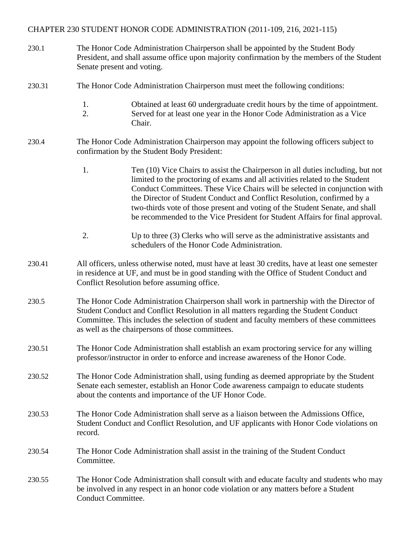### CHAPTER 230 STUDENT HONOR CODE ADMINISTRATION (2011-109, 216, 2021-115)

- 230.1 The Honor Code Administration Chairperson shall be appointed by the Student Body President, and shall assume office upon majority confirmation by the members of the Student Senate present and voting.
- 230.31 The Honor Code Administration Chairperson must meet the following conditions:
	- 1. Obtained at least 60 undergraduate credit hours by the time of appointment.
	- 2. Served for at least one year in the Honor Code Administration as a Vice Chair.
- 230.4 The Honor Code Administration Chairperson may appoint the following officers subject to confirmation by the Student Body President:
	- 1. Ten (10) Vice Chairs to assist the Chairperson in all duties including, but not limited to the proctoring of exams and all activities related to the Student Conduct Committees. These Vice Chairs will be selected in conjunction with the Director of Student Conduct and Conflict Resolution, confirmed by a two-thirds vote of those present and voting of the Student Senate, and shall be recommended to the Vice President for Student Affairs for final approval.
	- 2. Up to three (3) Clerks who will serve as the administrative assistants and schedulers of the Honor Code Administration.
- 230.41 All officers, unless otherwise noted, must have at least 30 credits, have at least one semester in residence at UF, and must be in good standing with the Office of Student Conduct and Conflict Resolution before assuming office.
- 230.5 The Honor Code Administration Chairperson shall work in partnership with the Director of Student Conduct and Conflict Resolution in all matters regarding the Student Conduct Committee. This includes the selection of student and faculty members of these committees as well as the chairpersons of those committees.
- 230.51 The Honor Code Administration shall establish an exam proctoring service for any willing professor/instructor in order to enforce and increase awareness of the Honor Code.
- 230.52 The Honor Code Administration shall, using funding as deemed appropriate by the Student Senate each semester, establish an Honor Code awareness campaign to educate students about the contents and importance of the UF Honor Code.
- 230.53 The Honor Code Administration shall serve as a liaison between the Admissions Office, Student Conduct and Conflict Resolution, and UF applicants with Honor Code violations on record.
- 230.54 The Honor Code Administration shall assist in the training of the Student Conduct Committee.
- 230.55 The Honor Code Administration shall consult with and educate faculty and students who may be involved in any respect in an honor code violation or any matters before a Student Conduct Committee.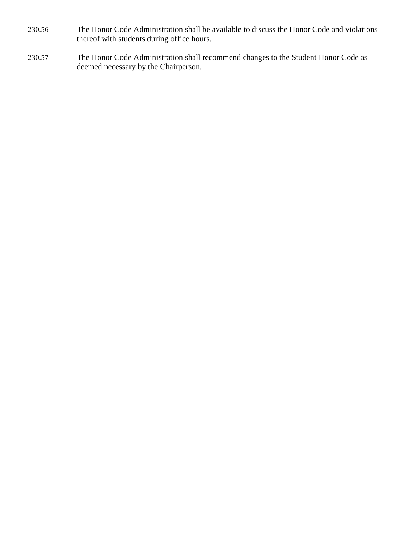- 230.56 The Honor Code Administration shall be available to discuss the Honor Code and violations thereof with students during office hours.
- 230.57 The Honor Code Administration shall recommend changes to the Student Honor Code as deemed necessary by the Chairperson.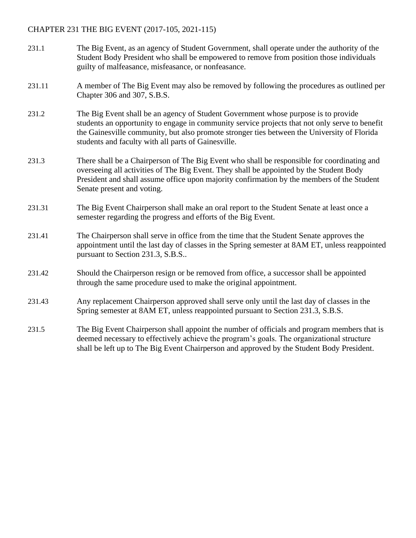### CHAPTER 231 THE BIG EVENT (2017-105, 2021-115)

- 231.1 The Big Event, as an agency of Student Government, shall operate under the authority of the Student Body President who shall be empowered to remove from position those individuals guilty of malfeasance, misfeasance, or nonfeasance.
- 231.11 A member of The Big Event may also be removed by following the procedures as outlined per Chapter 306 and 307, S.B.S.
- 231.2 The Big Event shall be an agency of Student Government whose purpose is to provide students an opportunity to engage in community service projects that not only serve to benefit the Gainesville community, but also promote stronger ties between the University of Florida students and faculty with all parts of Gainesville.
- 231.3 There shall be a Chairperson of The Big Event who shall be responsible for coordinating and overseeing all activities of The Big Event. They shall be appointed by the Student Body President and shall assume office upon majority confirmation by the members of the Student Senate present and voting.
- 231.31 The Big Event Chairperson shall make an oral report to the Student Senate at least once a semester regarding the progress and efforts of the Big Event.
- 231.41 The Chairperson shall serve in office from the time that the Student Senate approves the appointment until the last day of classes in the Spring semester at 8AM ET, unless reappointed pursuant to Section 231.3, S.B.S..
- 231.42 Should the Chairperson resign or be removed from office, a successor shall be appointed through the same procedure used to make the original appointment.
- 231.43 Any replacement Chairperson approved shall serve only until the last day of classes in the Spring semester at 8AM ET, unless reappointed pursuant to Section 231.3, S.B.S.
- 231.5 The Big Event Chairperson shall appoint the number of officials and program members that is deemed necessary to effectively achieve the program's goals. The organizational structure shall be left up to The Big Event Chairperson and approved by the Student Body President.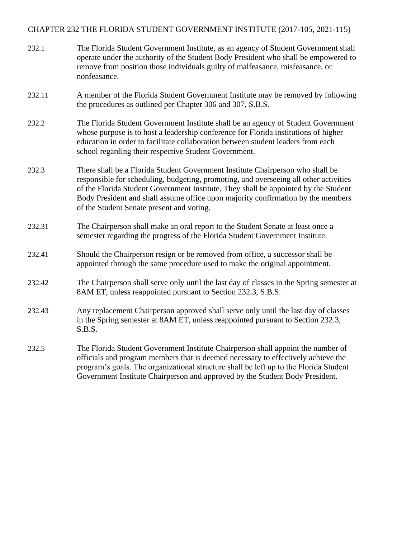### CHAPTER 232 THE FLORIDA STUDENT GOVERNMENT INSTITUTE (2017-105, 2021-115)

| 232.1  | The Florida Student Government Institute, as an agency of Student Government shall<br>operate under the authority of the Student Body President who shall be empowered to<br>remove from position those individuals guilty of malfeasance, misfeasance, or<br>nonfeasance.                                                                                                                      |
|--------|-------------------------------------------------------------------------------------------------------------------------------------------------------------------------------------------------------------------------------------------------------------------------------------------------------------------------------------------------------------------------------------------------|
| 232.11 | A member of the Florida Student Government Institute may be removed by following<br>the procedures as outlined per Chapter 306 and 307, S.B.S.                                                                                                                                                                                                                                                  |
| 232.2  | The Florida Student Government Institute shall be an agency of Student Government<br>whose purpose is to host a leadership conference for Florida institutions of higher<br>education in order to facilitate collaboration between student leaders from each<br>school regarding their respective Student Government.                                                                           |
| 232.3  | There shall be a Florida Student Government Institute Chairperson who shall be<br>responsible for scheduling, budgeting, promoting, and overseeing all other activities<br>of the Florida Student Government Institute. They shall be appointed by the Student<br>Body President and shall assume office upon majority confirmation by the members<br>of the Student Senate present and voting. |
| 232.31 | The Chairperson shall make an oral report to the Student Senate at least once a<br>semester regarding the progress of the Florida Student Government Institute.                                                                                                                                                                                                                                 |
| 232.41 | Should the Chairperson resign or be removed from office, a successor shall be<br>appointed through the same procedure used to make the original appointment.                                                                                                                                                                                                                                    |
| 232.42 | The Chairperson shall serve only until the last day of classes in the Spring semester at<br>8AM ET, unless reappointed pursuant to Section 232.3, S.B.S.                                                                                                                                                                                                                                        |
| 232.43 | Any replacement Chairperson approved shall serve only until the last day of classes<br>in the Spring semester at 8AM ET, unless reappointed pursuant to Section 232.3,<br>S.B.S.                                                                                                                                                                                                                |
| 232.5  | The Florida Student Government Institute Chairperson shall appoint the number of<br>officials and program members that is deemed necessary to effectively achieve the<br>program's goals. The organizational structure shall be left up to the Florida Student<br>Government Institute Chairperson and approved by the Student Body President.                                                  |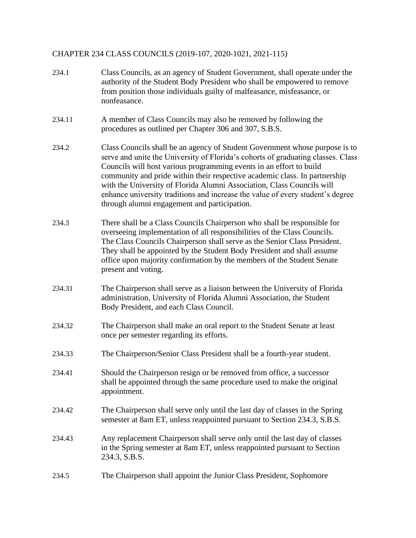# CHAPTER 234 CLASS COUNCILS (2019-107, 2020-1021, 2021-115)

| 234.1  | Class Councils, as an agency of Student Government, shall operate under the<br>authority of the Student Body President who shall be empowered to remove<br>from position those individuals guilty of malfeasance, misfeasance, or<br>nonfeasance.                                                                                                                                                                                                                                                                                |
|--------|----------------------------------------------------------------------------------------------------------------------------------------------------------------------------------------------------------------------------------------------------------------------------------------------------------------------------------------------------------------------------------------------------------------------------------------------------------------------------------------------------------------------------------|
| 234.11 | A member of Class Councils may also be removed by following the<br>procedures as outlined per Chapter 306 and 307, S.B.S.                                                                                                                                                                                                                                                                                                                                                                                                        |
| 234.2  | Class Councils shall be an agency of Student Government whose purpose is to<br>serve and unite the University of Florida's cohorts of graduating classes. Class<br>Councils will host various programming events in an effort to build<br>community and pride within their respective academic class. In partnership<br>with the University of Florida Alumni Association, Class Councils will<br>enhance university traditions and increase the value of every student's degree<br>through alumni engagement and participation. |
| 234.3  | There shall be a Class Councils Chairperson who shall be responsible for<br>overseeing implementation of all responsibilities of the Class Councils.<br>The Class Councils Chairperson shall serve as the Senior Class President.<br>They shall be appointed by the Student Body President and shall assume<br>office upon majority confirmation by the members of the Student Senate<br>present and voting.                                                                                                                     |
| 234.31 | The Chairperson shall serve as a liaison between the University of Florida<br>administration, University of Florida Alumni Association, the Student<br>Body President, and each Class Council.                                                                                                                                                                                                                                                                                                                                   |
| 234.32 | The Chairperson shall make an oral report to the Student Senate at least<br>once per semester regarding its efforts.                                                                                                                                                                                                                                                                                                                                                                                                             |
| 234.33 | The Chairperson/Senior Class President shall be a fourth-year student.                                                                                                                                                                                                                                                                                                                                                                                                                                                           |
| 234.41 | Should the Chairperson resign or be removed from office, a successor<br>shall be appointed through the same procedure used to make the original<br>appointment.                                                                                                                                                                                                                                                                                                                                                                  |
| 234.42 | The Chairperson shall serve only until the last day of classes in the Spring<br>semester at 8am ET, unless reappointed pursuant to Section 234.3, S.B.S.                                                                                                                                                                                                                                                                                                                                                                         |
| 234.43 | Any replacement Chairperson shall serve only until the last day of classes<br>in the Spring semester at 8am ET, unless reappointed pursuant to Section<br>234.3, S.B.S.                                                                                                                                                                                                                                                                                                                                                          |
| 234.5  | The Chairperson shall appoint the Junior Class President, Sophomore                                                                                                                                                                                                                                                                                                                                                                                                                                                              |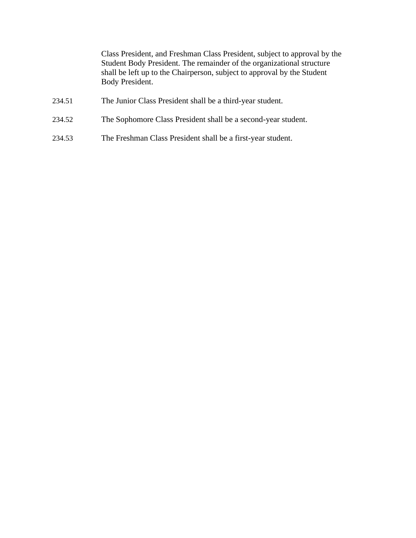Class President, and Freshman Class President, subject to approval by the Student Body President. The remainder of the organizational structure shall be left up to the Chairperson, subject to approval by the Student Body President.

- 234.51 The Junior Class President shall be a third-year student.
- 234.52 The Sophomore Class President shall be a second-year student.
- 234.53 The Freshman Class President shall be a first-year student.